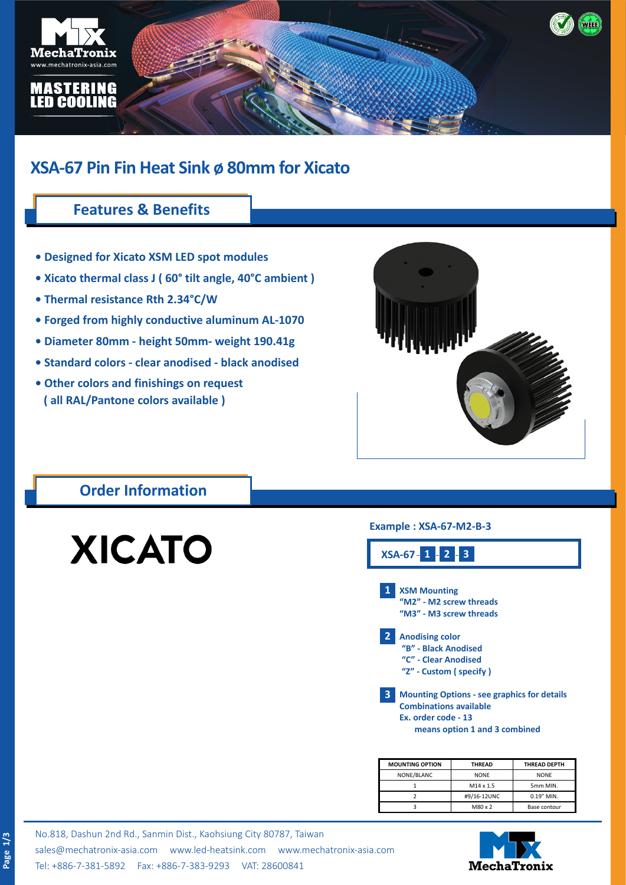

# **XSA-67 Pin Fin Heat Sink ø 80mm for Xicato**

### **Features & Benefits**

- **Designed for Xicato XSM LED spot modules**
- **Xicato thermal class J ( 60° tilt angle, 40°C ambient )**
- **Thermal resistance Rth 2.34°C/W**
- **Forged from highly conductive aluminum AL-1070**
- **Diameter 80mm height 50mm- weight 190.41g**
- **Standard colors clear anodised black anodised**
- **Other colors and finishings on request ( all RAL/Pantone colors available )**



#### **Order Information**

# **XICATO**

#### **Example : XSA-67-M2-B-3**



| <b>MOUNTING OPTION</b> | <b>THREAD</b> | <b>THREAD DEPTH</b> |  |
|------------------------|---------------|---------------------|--|
| NONE/BLANC             | <b>NONE</b>   | <b>NONE</b>         |  |
|                        | M14 x 1.5     | 5mm MIN.            |  |
|                        | #9/16-12UNC   | 0.19" MIN.          |  |
|                        | M80 x 2       | Base contour        |  |

No.818, Dashun 2nd Rd., Sanmin Dist., Kaohsiung City 80787, Taiwan [sales@mechatronix-asia.com](mailto:sales%40mechatronix-asia.com?subject=) [www.led-heatsink.com](http://www.led-heatsink.com) [www.mechatronix-asia.com](http://www.mechatronix-asia.com) Tel: +886-7-381-5892 Fax: +886-7-383-9293 VAT: 28600841

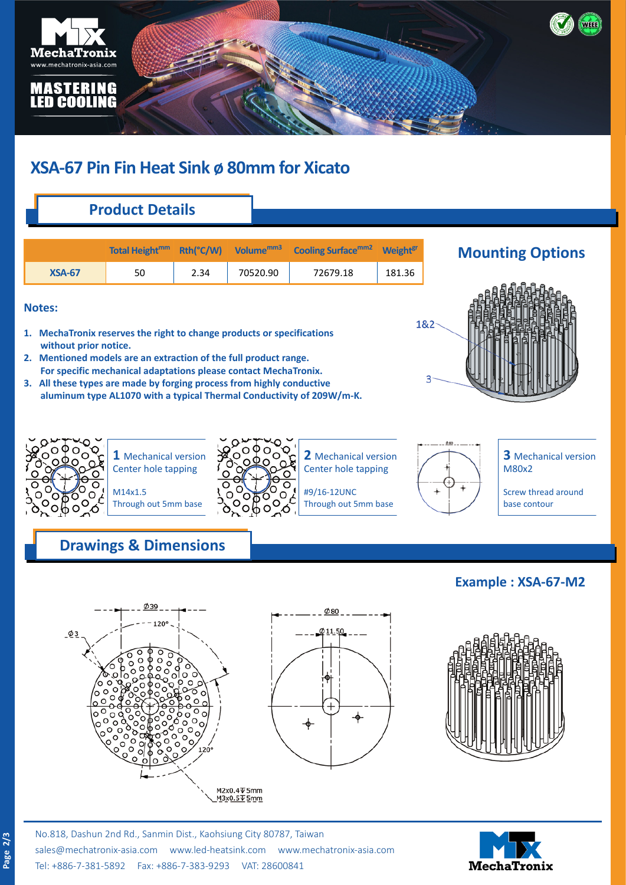

# **XSA-67 Pin Fin Heat Sink ø 80mm for Xicato**

# **Product Details**

|               |    |      |          | Total Height <sup>mm</sup> Rth(°C/W) Volume <sup>mm3</sup> Cooling Surface <sup>mm2</sup> Weight <sup>gr</sup> |        |
|---------------|----|------|----------|----------------------------------------------------------------------------------------------------------------|--------|
| <b>XSA-67</b> | 50 | 2.34 | 70520.90 | 72679.18                                                                                                       | 181.36 |

#### **Notes:**

- **1. MechaTronix reserves the right to change products or specifications without prior notice.**
- **2. Mentioned models are an extraction of the full product range. For specific mechanical adaptations please contact MechaTronix.**
- **3. All these types are made by forging process from highly conductive aluminum type AL1070 with a typical Thermal Conductivity of 209W/m-K.**





**1** Mechanical version Center hole tapping

M14x1.5 Through out 5mm base



**2** Mechanical version Center hole tapping

#9/16-12UNC Through out 5mm base

**3** Mechanical version M80x2

Screw thread around base contour

## **Drawings & Dimensions**





#### **Example : XSA-67-M2**